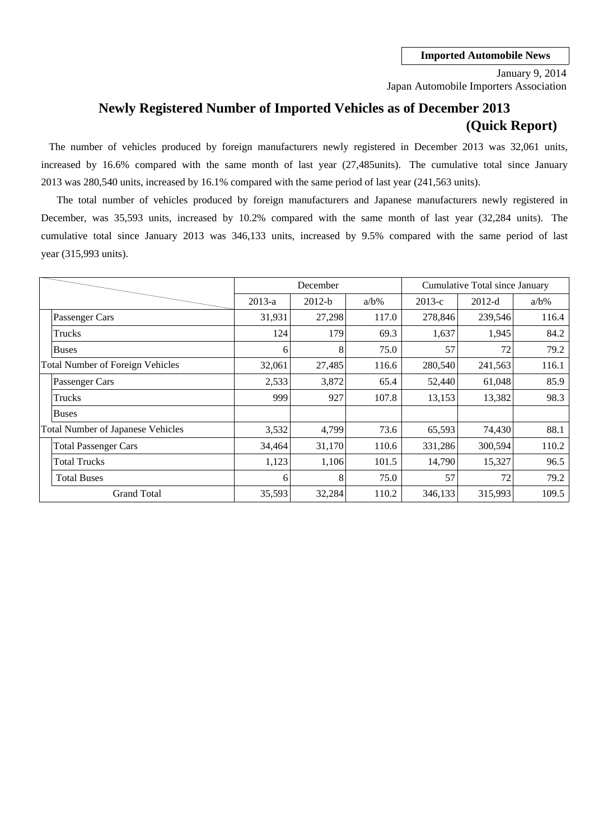Japan Automobile Importers Association January 9, 2014

# **Newly Registered Number of Imported Vehicles as of December 2013 (Quick Report)**

2013 was 280,540 units, increased by 16.1% compared with the same period of last year (241,563 units). The number of vehicles produced by foreign manufacturers newly registered in December 2013 was 32,061 units, increased by 16.6% compared with the same month of last year (27,485units). The cumulative total since January

cumulative total since January 2013 was 346,133 units, increased by 9.5% compared with the same period of last December, was 35,593 units, increased by 10.2% compared with the same month of last year (32,284 units). The year (315,993 units). The total number of vehicles produced by foreign manufacturers and Japanese manufacturers newly registered in

|                                          |          | December |         |          | Cumulative Total since January |         |
|------------------------------------------|----------|----------|---------|----------|--------------------------------|---------|
|                                          | $2013-a$ | $2012-b$ | $a/b\%$ | $2013-c$ | $2012-d$                       | $a/b\%$ |
| Passenger Cars                           | 31,931   | 27,298   | 117.0   | 278,846  | 239,546                        | 116.4   |
| Trucks                                   | 124      | 179      | 69.3    | 1,637    | 1,945                          | 84.2    |
| Buses                                    | 6        | 8        | 75.0    | 57       | 72                             | 79.2    |
| <b>Total Number of Foreign Vehicles</b>  | 32,061   | 27,485   | 116.6   | 280,540  | 241,563                        | 116.1   |
| Passenger Cars                           | 2,533    | 3,872    | 65.4    | 52,440   | 61,048                         | 85.9    |
| Trucks                                   | 999      | 927      | 107.8   | 13,153   | 13,382                         | 98.3    |
| <b>Buses</b>                             |          |          |         |          |                                |         |
| <b>Total Number of Japanese Vehicles</b> | 3,532    | 4,799    | 73.6    | 65,593   | 74,430                         | 88.1    |
| <b>Total Passenger Cars</b>              | 34,464   | 31,170   | 110.6   | 331,286  | 300,594                        | 110.2   |
| <b>Total Trucks</b>                      | 1,123    | 1,106    | 101.5   | 14,790   | 15,327                         | 96.5    |
| <b>Total Buses</b>                       | 6        | 8        | 75.0    | 57       | 72                             | 79.2    |
| <b>Grand Total</b>                       | 35,593   | 32,284   | 110.2   | 346,133  | 315,993                        | 109.5   |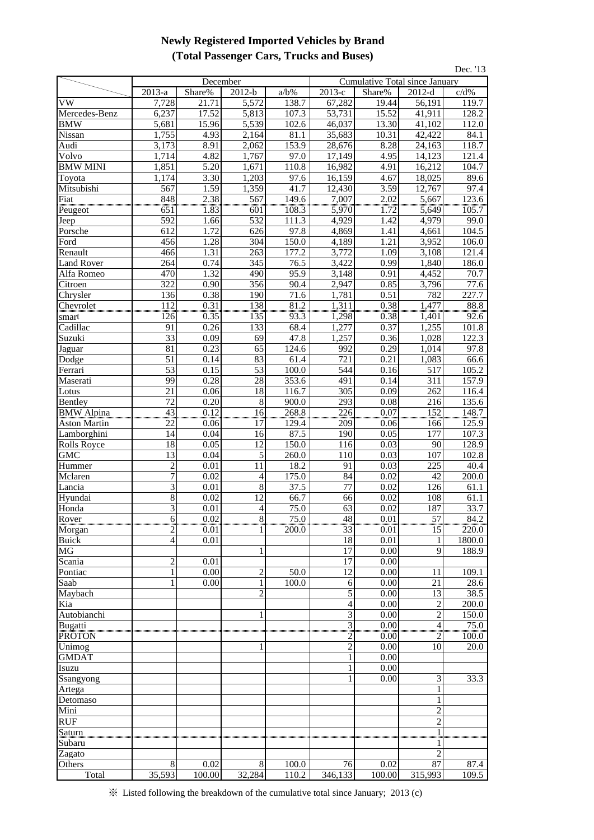## **Newly Registered Imported Vehicles by Brand (Total Passenger Cars, Trucks and Buses)**

| Dec. '13                         |                 |                     |                 |                |                       |                                |                       |                   |  |
|----------------------------------|-----------------|---------------------|-----------------|----------------|-----------------------|--------------------------------|-----------------------|-------------------|--|
|                                  |                 | December            |                 |                |                       | Cumulative Total since January |                       |                   |  |
|                                  | 2013-a          | Share%              | $2012-b$        | $a/b\%$        | 2013-е                | Share%                         | $2012-d$              | c/d%              |  |
| <b>VW</b>                        | 7,728           | 21.71               | 5,572           | 138.7          | 67,282                | 19.44                          | 56,191                | 119.7             |  |
| Mercedes-Benz                    | 6,237           | 17.52               | 5,813           | 107.3          | 53,731                | 15.52                          | 41,911                | 128.2             |  |
| <b>BMW</b>                       | 5,681           | 15.96               | 5,539           | 102.6          | 46,037                | 13.30                          | 41,102                | 112.0             |  |
| Nissan                           | 1,755           | 4.93                | 2,164           | 81.1           | 35,683                | 10.31                          | 42,422                | 84.1              |  |
| Audi                             | 3,173           | 8.91                | 2,062           | 153.9          | 28,676                | 8.28                           | 24,163                | 118.7             |  |
| Volvo                            | 1,714           | 4.82                | 1,767           | 97.0           | 17,149                | 4.95                           | 14,123                | 121.4             |  |
| <b>BMW MINI</b>                  | 1,851           | 5.20                | 1,671           | 110.8          | 16,982                | 4.91                           | 16,212                | 104.7             |  |
| Toyota                           | 1,174           | 3.30                | 1,203           | 97.6           | 16,159                | 4.67                           | 18,025                | 89.6              |  |
| Mitsubishi                       | 567             | 1.59                | 1,359           | 41.7           | 12,430                | 3.59                           | 12,767                | 97.4              |  |
| Fiat                             | 848<br>651      | 2.38<br>1.83        | 567             | 149.6<br>108.3 | 7,007<br>5,970        | 2.02                           | 5,667<br>5,649        | 123.6             |  |
| Peugeot<br>Jeep                  | 592             | 1.66                | 601<br>532      | 111.3          | 4,929                 | 1.72<br>1.42                   | 4,979                 | 105.7<br>99.0     |  |
| Porsche                          | 612             | 1.72                | 626             | 97.8           | 4,869                 | 1.41                           | 4,661                 | 104.5             |  |
| Ford                             | 456             | 1.28                | 304             | 150.0          | 4,189                 | 1.21                           | 3,952                 | 106.0             |  |
| Renault                          | 466             | 1.31                | 263             | 177.2          | 3,772                 | 1.09                           | 3,108                 | 121.4             |  |
| <b>Land Rover</b>                | 264             | 0.74                | 345             | 76.5           | 3,422                 | 0.99                           | 1,840                 | 186.0             |  |
| Alfa Romeo                       | 470             | 1.32                | 490             | 95.9           | 3,148                 | 0.91                           | 4,452                 | 70.7              |  |
| Citroen                          | 322             | 0.90                | 356             | 90.4           | 2,947                 | 0.85                           | 3,796                 | 77.6              |  |
| Chrysler                         | 136             | 0.38                | 190             | 71.6           | 1,781                 | 0.51                           | 782                   | 227.7             |  |
| Chevrolet                        | $\frac{112}{2}$ |                     | 138             | 81.2           |                       | 0.38                           |                       | 88.8              |  |
| smart                            | 126             | $\frac{0.31}{0.35}$ | 135             | 93.3           | $\frac{1,311}{1,298}$ | 0.38                           | $\frac{1,477}{1,401}$ | 92.6              |  |
| Cadillac                         | 91              | 0.26                | 133             | 68.4           | 1,277                 | 0.37                           | 1,255                 | 101.8             |  |
| Suzuki                           | 33              | 0.09                | 69              | 47.8           | 1,257                 | 0.36                           | 1,028                 | 122.3             |  |
| Jaguar                           | 81              | 0.23                | 65              | 124.6          | 992                   | 0.29                           | 1,014                 | 97.8              |  |
| Dodge                            | 51              | 0.14                | 83              | 61.4           | 721                   | 0.21                           | 1,083                 | 66.6              |  |
| Ferrari                          | 53              | 0.15                | 53              | 100.0          | 544                   | 0.16                           | 517                   | 105.2             |  |
| Maserati                         | 99              | 0.28                | 28              | 353.6          | 491                   | 0.14                           | 311                   | 157.9             |  |
| Lotus                            | 21              | 0.06                | $\overline{18}$ | 116.7          | 305                   | 0.09                           | 262                   | 116.4             |  |
| Bentley                          | 72              | 0.20                | $\,8\,$         | 900.0          | 293                   | 0.08                           | 216                   | 135.6             |  |
| <b>BMW</b> Alpina                | $\overline{43}$ | 0.12                | $\overline{16}$ | 268.8          | $\overline{226}$      | 0.07                           | 152                   | 148.7             |  |
| <b>Aston Martin</b>              | 22              | 0.06                | 17              | 129.4          | 209                   | 0.06                           | 166                   | 125.9             |  |
| Lamborghini                      | 14<br>18        | 0.04<br>0.05        | 16<br>12        | 87.5<br>150.0  | 190                   | 0.05<br>0.03                   | 177<br>90             | 107.3             |  |
| <b>Rolls Royce</b><br><b>GMC</b> | $\overline{13}$ | 0.04                | 5               | 260.0          | 116<br>110            | 0.03                           | 107                   | 128.9<br>102.8    |  |
| Hummer                           | $\overline{c}$  | 0.01                | 11              | 18.2           | 91                    | 0.03                           | 225                   | 40.4              |  |
| Mclaren                          | 7               | 0.02                | $\overline{4}$  | 175.0          | 84                    | 0.02                           | 42                    | 200.0             |  |
| Lancia                           | 3               | 0.01                | $\overline{8}$  | 37.5           | 77                    | 0.02                           | 126                   | 61.1              |  |
| Hyundai                          | $\overline{8}$  | 0.02                | $\overline{12}$ | 66.7           | 66                    | 0.02                           | 108                   | 61.1              |  |
| Honda                            | $\overline{3}$  | $0.01\,$            | $\overline{4}$  | 75.0           | 63                    | 0.02                           | 187                   | 33.7              |  |
| Rover                            | 6               | 0.02                | $\overline{8}$  | 75.0           | 48                    | 0.01                           | $\overline{57}$       | $\overline{8}4.2$ |  |
| Morgan                           | 2               | 0.01                |                 | 200.0          | 33                    | 0.01                           | 15                    | 220.0             |  |
| <b>Buick</b>                     | $\overline{4}$  | $\overline{0.01}$   |                 |                | 18                    | 0.01                           | $\mathbf{1}$          | 1800.0            |  |
| MG                               |                 |                     |                 |                | 17                    | 0.00                           | 9                     | 188.9             |  |
| Scania                           | 2               | 0.01                |                 |                | $\overline{17}$       | 0.00                           |                       |                   |  |
| Pontiac                          | 1               | 0.00                | $\overline{2}$  | 50.0           | 12                    | 0.00                           | 11                    | 109.1             |  |
| Saab                             |                 | 0.00                | $\mathbf{1}$    | 100.0          | 6                     | 0.00                           | $\overline{2}1$       | 28.6              |  |
| Maybach                          |                 |                     | $\overline{2}$  |                | 5                     | 0.00                           | 13                    | 38.5              |  |
| Kia                              |                 |                     |                 |                | 4                     | 0.00                           | $\overline{2}$        | 200.0             |  |
| Autobianchi                      |                 |                     |                 |                | $\mathfrak{Z}$        | 0.00                           | $\overline{2}$        | 150.0             |  |
| <b>Bugatti</b>                   |                 |                     |                 |                | 3                     | 0.00                           | $\overline{4}$        | 75.0              |  |
| <b>PROTON</b>                    |                 |                     |                 |                | 2                     | 0.00                           | 2<br>10               | 100.0             |  |
| Unimog<br><b>GMDAT</b>           |                 |                     |                 |                | $\overline{c}$        | 0.00<br>0.00                   |                       | 20.0              |  |
| Isuzu                            |                 |                     |                 |                | 1                     | 0.00                           |                       |                   |  |
| Ssangyong                        |                 |                     |                 |                |                       | 0.00                           | 3                     | 33.3              |  |
| Artega                           |                 |                     |                 |                |                       |                                | 1                     |                   |  |
| Detomaso                         |                 |                     |                 |                |                       |                                | $\mathbf{1}$          |                   |  |
| Mini                             |                 |                     |                 |                |                       |                                | $\overline{2}$        |                   |  |
| <b>RUF</b>                       |                 |                     |                 |                |                       |                                | $\sqrt{2}$            |                   |  |
| Saturn                           |                 |                     |                 |                |                       |                                | 1                     |                   |  |
| Subaru                           |                 |                     |                 |                |                       |                                |                       |                   |  |
| Zagato                           |                 |                     |                 |                |                       |                                | $\mathfrak{D}$        |                   |  |
| Others                           | 8               | 0.02                | 8               | 100.0          | 76                    | 0.02                           | 87                    | 87.4              |  |
| Total                            | 35,593          | 100.00              | 32,284          | 110.2          | 346,133               | 100.00                         | 315,993               | 109.5             |  |

※ Listed following the breakdown of the cumulative total since January; 2013 (c)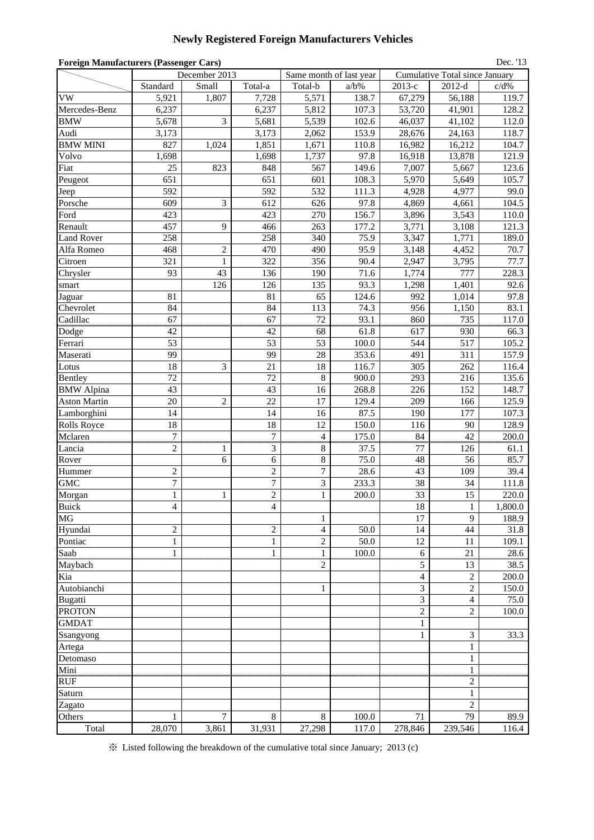### **Newly Registered Foreign Manufacturers Vehicles**

| <b>Foreign Manufacturers (Passenger Cars)</b><br>Dec. '13 |                                                                                                                                                               |                |                  |                             |                   |                |                |              |  |  |  |
|-----------------------------------------------------------|---------------------------------------------------------------------------------------------------------------------------------------------------------------|----------------|------------------|-----------------------------|-------------------|----------------|----------------|--------------|--|--|--|
|                                                           | December 2013<br>Same month of last year<br><b>Cumulative Total since January</b><br>Standard<br>Small<br>Total-a<br>2013-е<br>$2012-d$<br>Total-b<br>$a/b\%$ |                |                  |                             |                   |                |                |              |  |  |  |
|                                                           |                                                                                                                                                               |                |                  |                             |                   |                |                | c/d%         |  |  |  |
| VW                                                        | 5,921                                                                                                                                                         | 1,807          | 7,728            | 5,571                       | 138.7             | 67,279         | 56,188         | 119.7        |  |  |  |
| Mercedes-Benz                                             | 6,237                                                                                                                                                         |                | 6,237            | 5,812                       | 107.3             | 53,720         | 41,901         | 128.2        |  |  |  |
| <b>BMW</b>                                                | 5,678                                                                                                                                                         | 3              | 5,681            | 5,539                       | 102.6             | 46,037         | 41,102         | 112.0        |  |  |  |
| Audi                                                      | 3,173                                                                                                                                                         |                | 3,173            | 2,062                       | 153.9             | 28,676         | 24,163         | 118.7        |  |  |  |
| <b>BMW MINI</b>                                           | 827                                                                                                                                                           | 1,024          | 1,851            | 1,671                       | 110.8             | 16,982         | 16,212         | 104.7        |  |  |  |
| Volvo                                                     | 1,698                                                                                                                                                         |                | 1,698            | 1,737                       | 97.8              | 16,918         | 13,878         | 121.9        |  |  |  |
| Fiat                                                      | 25                                                                                                                                                            | 823            | 848              | 567                         | 149.6             | 7,007          | 5,667          | 123.6        |  |  |  |
| Peugeot                                                   | 651                                                                                                                                                           |                | 651              | 601                         | 108.3             | 5,970          | 5,649          | 105.7        |  |  |  |
| Jeep                                                      | 592                                                                                                                                                           |                | 592              | 532                         | 111.3             | 4,928          | 4,977          | 99.0         |  |  |  |
| Porsche                                                   | 609                                                                                                                                                           | 3              | 612              | 626                         | 97.8              | 4,869          | 4,661          | 104.5        |  |  |  |
| Ford                                                      | 423                                                                                                                                                           |                | 423              | 270                         | 156.7             | 3,896          | 3,543          | 110.0        |  |  |  |
| Renault                                                   | 457                                                                                                                                                           | 9              | 466              | 263                         | 177.2             | 3,771          | 3,108          | 121.3        |  |  |  |
| <b>Land Rover</b>                                         | 258                                                                                                                                                           |                | 258              | 340                         | 75.9              | 3,347          | 1,771          | 189.0        |  |  |  |
| Alfa Romeo                                                | 468                                                                                                                                                           | $\overline{c}$ | 470              | 490                         | 95.9              | 3,148          | 4,452          | 70.7         |  |  |  |
| Citroen                                                   | 321                                                                                                                                                           | 1              | 322              | 356                         | 90.4              | 2,947          | 3,795          | 77.7         |  |  |  |
| Chrysler                                                  | 93                                                                                                                                                            | 43             | 136              | 190                         | 71.6              | 1,774          | 777            | 228.3        |  |  |  |
| smart                                                     |                                                                                                                                                               | 126            | 126              | 135                         | 93.3              | 1,298          | 1,401          | 92.6         |  |  |  |
| Jaguar                                                    | 81                                                                                                                                                            |                | 81               | 65                          | 124.6             | 992            | 1,014          | 97.8         |  |  |  |
| Chevrolet                                                 | 84                                                                                                                                                            |                | 84               | 113                         | 74.3              | 956            | 1,150          | 83.1         |  |  |  |
| Cadillac                                                  | 67                                                                                                                                                            |                | 67               | 72                          | $93.\overline{1}$ | 860            | 735            | 117.0        |  |  |  |
| Dodge                                                     | 42                                                                                                                                                            |                | 42               | 68                          | 61.8              | 617            | 930            | 66.3         |  |  |  |
| Ferrari                                                   | 53                                                                                                                                                            |                | 53               | 53                          | 100.0             | 544            | 517            | 105.2        |  |  |  |
| Maserati                                                  | 99                                                                                                                                                            |                | 99               | 28                          | 353.6             | 491            | 311            | 157.9        |  |  |  |
| Lotus                                                     | 18                                                                                                                                                            | 3              | 21               | 18                          | 116.7             | 305            | 262            | 116.4        |  |  |  |
| Bentley                                                   | 72                                                                                                                                                            |                | 72               | 8                           | 900.0             | 293            | 216            | 135.6        |  |  |  |
| <b>BMW</b> Alpina                                         | 43                                                                                                                                                            |                | 43               | 16                          | 268.8             | 226            | 152            | 148.7        |  |  |  |
| <b>Aston Martin</b>                                       | 20                                                                                                                                                            | $\overline{c}$ | 22               | 17                          | 129.4             | 209            | 166            | 125.9        |  |  |  |
| Lamborghini                                               | 14                                                                                                                                                            |                | 14               | 16                          | 87.5              | 190            | 177            | 107.3        |  |  |  |
| <b>Rolls Royce</b>                                        | 18                                                                                                                                                            |                | 18               | 12                          | 150.0             | 116            | 90             | 128.9        |  |  |  |
| Mclaren                                                   | $\overline{7}$                                                                                                                                                |                | $\overline{7}$   | $\overline{\mathcal{L}}$    | 175.0             | 84             | 42             | 200.0        |  |  |  |
| Lancia                                                    | $\mathfrak 2$                                                                                                                                                 | 1              | 3                | 8                           | 37.5<br>75.0      | 77<br>48       | 126            | 61.1<br>85.7 |  |  |  |
| Rover                                                     | $\mathbf{2}$                                                                                                                                                  | 6              | 6<br>$\sqrt{2}$  | $\,8\,$<br>$\boldsymbol{7}$ | 28.6              | 43             | 56<br>109      | 39.4         |  |  |  |
| Hummer<br><b>GMC</b>                                      | 7                                                                                                                                                             |                | $\sqrt{ }$       | $\overline{\mathbf{3}}$     | 233.3             | 38             | 34             | 111.8        |  |  |  |
| Morgan                                                    | $\mathbf{1}$                                                                                                                                                  | 1              | $\sqrt{2}$       | $\mathbf{1}$                | 200.0             | 33             | 15             | 220.0        |  |  |  |
| <b>Buick</b>                                              | 4                                                                                                                                                             |                | 4                |                             |                   | 18             |                | 1,800.0      |  |  |  |
| MG                                                        |                                                                                                                                                               |                |                  | 1                           |                   | 17             | $\perp$<br>9   | 188.9        |  |  |  |
| Hyundai                                                   | $\overline{c}$                                                                                                                                                |                | $\boldsymbol{2}$ | $\overline{\mathbf{4}}$     | 50.0              | 14             | 44             | 31.8         |  |  |  |
| Pontiac                                                   | $\mathbf{1}$                                                                                                                                                  |                | $\mathbf{1}$     | $\overline{c}$              | 50.0              | 12             | 11             | 109.1        |  |  |  |
| Saab                                                      | $\mathbf{1}$                                                                                                                                                  |                | $\mathbf{1}$     | $\mathbf{1}$                | 100.0             | 6              | 21             | 28.6         |  |  |  |
| Maybach                                                   |                                                                                                                                                               |                |                  | 2                           |                   | 5              | 13             | 38.5         |  |  |  |
| Kia                                                       |                                                                                                                                                               |                |                  |                             |                   | $\overline{4}$ | $\overline{c}$ | 200.0        |  |  |  |
| Autobianchi                                               |                                                                                                                                                               |                |                  | $\mathbf{1}$                |                   | 3              | $\overline{c}$ | 150.0        |  |  |  |
| <b>Bugatti</b>                                            |                                                                                                                                                               |                |                  |                             |                   | 3              | 4              | 75.0         |  |  |  |
| <b>PROTON</b>                                             |                                                                                                                                                               |                |                  |                             |                   | $\overline{c}$ | $\overline{c}$ | 100.0        |  |  |  |
| <b>GMDAT</b>                                              |                                                                                                                                                               |                |                  |                             |                   | $\mathbf{1}$   |                |              |  |  |  |
| Ssangyong                                                 |                                                                                                                                                               |                |                  |                             |                   | $\mathbf 1$    | 3              | 33.3         |  |  |  |
| Artega                                                    |                                                                                                                                                               |                |                  |                             |                   |                | $\mathbf{1}$   |              |  |  |  |
| Detomaso                                                  |                                                                                                                                                               |                |                  |                             |                   |                | $\mathbf{1}$   |              |  |  |  |
| Mini                                                      |                                                                                                                                                               |                |                  |                             |                   |                | $\mathbf{1}$   |              |  |  |  |
| <b>RUF</b>                                                |                                                                                                                                                               |                |                  |                             |                   |                | 2              |              |  |  |  |
| Saturn                                                    |                                                                                                                                                               |                |                  |                             |                   |                | $\mathbf{1}$   |              |  |  |  |
| Zagato                                                    |                                                                                                                                                               |                |                  |                             |                   |                | 2              |              |  |  |  |
| Others                                                    | 1                                                                                                                                                             | 7              | 8                | 8                           | 100.0             | 71             | 79             | 89.9         |  |  |  |
| Total                                                     | 28,070                                                                                                                                                        | 3,861          | 31,931           | 27,298                      | 117.0             | 278,846        | 239,546        | 116.4        |  |  |  |

※ Listed following the breakdown of the cumulative total since January; 2013 (c)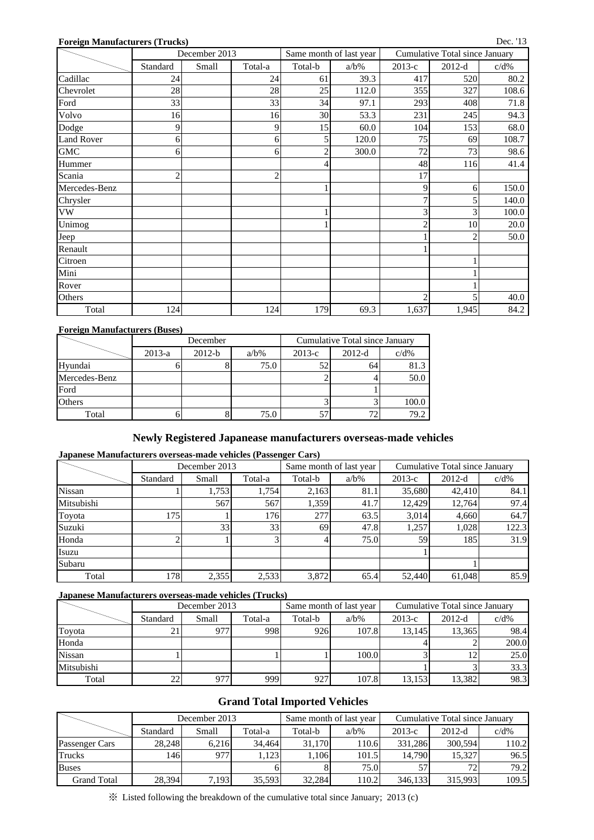| <b>Foreign Manufacturers (Trucks)</b> |                                    |               |                |                         |         |                |                                | Dec. '13 |
|---------------------------------------|------------------------------------|---------------|----------------|-------------------------|---------|----------------|--------------------------------|----------|
|                                       |                                    | December 2013 |                | Same month of last year |         |                | Cumulative Total since January |          |
|                                       | Standard                           | Small         | Total-a        | Total-b                 | $a/b\%$ | 2013-с         | $2012-d$                       | $c/d\%$  |
| Cadillac                              | 24                                 |               | 24             | 61                      | 39.3    | 417            | 520                            | 80.2     |
| Chevrolet                             | 28                                 |               | 28             | 25                      | 112.0   | 355            | 327                            | 108.6    |
| Ford                                  | 33                                 |               | 33             | 34                      | 97.1    | 293            | 408                            | 71.8     |
| Volvo                                 | 16                                 |               | 16             | 30                      | 53.3    | 231            | 245                            | 94.3     |
| Dodge                                 | 60.0<br>9<br>15<br>104<br>153<br>9 |               | 68.0           |                         |         |                |                                |          |
| Land Rover                            | 6                                  |               | 6              | 5                       | 120.0   | 75             | 69                             | 108.7    |
| <b>GMC</b>                            | 6                                  |               | 6              | $\overline{c}$          | 300.0   | 72             | 73                             | 98.6     |
| Hummer                                |                                    |               |                | 4                       |         | 48             | 116                            | 41.4     |
| Scania                                | $\overline{c}$                     |               | $\overline{c}$ |                         |         | 17             |                                |          |
| Mercedes-Benz                         |                                    |               |                |                         |         | 9              | 6                              | 150.0    |
| Chrysler                              |                                    |               |                |                         |         | $\tau$         | 5                              | 140.0    |
| <b>VW</b>                             |                                    |               |                |                         |         | 3 <sub>l</sub> | 3                              | 100.0    |
| Unimog                                |                                    |               |                |                         |         | $\mathfrak{2}$ | 10                             | 20.0     |
| Jeep                                  |                                    |               |                |                         |         |                | $\overline{2}$                 | 50.0     |
| Renault                               |                                    |               |                |                         |         |                |                                |          |
| Citroen                               |                                    |               |                |                         |         |                |                                |          |
| Mini                                  |                                    |               |                |                         |         |                |                                |          |
| Rover                                 |                                    |               |                |                         |         |                |                                |          |
| Others                                |                                    |               |                |                         |         | $\overline{2}$ | 5                              | 40.0     |
| Total                                 | 124                                |               | 124            | 179                     | 69.3    | 1,637          | 1,945                          | 84.2     |

#### **Foreign Manufacturers (Buses)**

|               |          | Cumulative Total since January |         |          |          |         |
|---------------|----------|--------------------------------|---------|----------|----------|---------|
|               | $2013-a$ | $2012-b$                       | $a/b\%$ | $2013-c$ | $2012-d$ | $c/d\%$ |
| Hyundai       |          |                                | 75.0    |          | 64       | 81.3    |
| Mercedes-Benz |          |                                |         |          |          | 50.0    |
| Ford          |          |                                |         |          |          |         |
| Others        |          |                                |         |          |          | 100.0   |
| Total         |          |                                | 75.0    |          |          | 79.2    |

### **Newly Registered Japanease manufacturers overseas-made vehicles**

#### **Japanese Manufacturers overseas-made vehicles (Passenger Cars)**

|               |          | December 2013 |         |         | Same month of last year | Cumulative Total since January |          |         |  |
|---------------|----------|---------------|---------|---------|-------------------------|--------------------------------|----------|---------|--|
|               | Standard | Small         | Total-a | Total-b | $a/b\%$                 | $2013-c$                       | $2012-d$ | $c/d\%$ |  |
| <b>Nissan</b> |          | 1,753         | 1.754   | 2,163   | 81.1                    | 35,680                         | 42.410   | 84.1    |  |
| Mitsubishi    |          | 567           | 567     | 1.359   | 41.7                    | 12.429                         | 12.764   | 97.4    |  |
| Toyota        | 175      |               | 1761    | 277     | 63.5                    | 3,014                          | 4,660    | 64.7    |  |
| Suzuki        |          | 33            | 33      | 69      | 47.8                    | 1,257                          | 1,028    | 122.3   |  |
| Honda         |          |               |         |         | 75.0                    | 59 <sub>l</sub>                | 185      | 31.9    |  |
| Isuzu         |          |               |         |         |                         |                                |          |         |  |
| Subaru        |          |               |         |         |                         |                                |          |         |  |
| Total         | 1781     | 2,355         | 2,533   | 3,872   | 65.4                    | 52,440                         | 61,048   | 85.9    |  |

### **Japanese Manufacturers overseas-made vehicles (Trucks)**

|               |          | December 2013 |         |         | Same month of last year | Cumulative Total since January |          |         |  |
|---------------|----------|---------------|---------|---------|-------------------------|--------------------------------|----------|---------|--|
|               | Standard | Small         | Total-a | Total-b | $a/b\%$                 | $2013-c$                       | $2012-d$ | $c/d\%$ |  |
| Toyota        |          | 977           | 998     | 926     | 107.8                   | 13.145                         | 13.365   | 98.4    |  |
| Honda         |          |               |         |         |                         |                                |          | 200.0   |  |
| <b>Nissan</b> |          |               |         |         | 100.0                   |                                | ⊥∠       | 25.0    |  |
| Mitsubishi    |          |               |         |         |                         |                                |          | 33.3    |  |
| Total         |          | 977           | 999     | 927     | 107.8                   | 13,153                         | 13,382   | 98.3    |  |

## **Grand Total Imported Vehicles**

|                    |          | December 2013 |         |         | Same month of last year | Cumulative Total since January |          |         |  |
|--------------------|----------|---------------|---------|---------|-------------------------|--------------------------------|----------|---------|--|
|                    | Standard | Small         | Total-a | Total-b | $a/b\%$                 | $2013-c$                       | $2012-d$ | $c/d\%$ |  |
| Passenger Cars     | 28.248   | 6.216         | 34.464  | 31.170  | 110.6                   | 331.286                        | 300.594  | 110.2   |  |
| <b>Trucks</b>      | 1461     | 977           | .123    | 1,106   | 101.5                   | 14.790                         | 15.327   | 96.5    |  |
| <b>Buses</b>       |          |               |         |         | 75.0                    | 57                             | 72       | 79.2    |  |
| <b>Grand Total</b> | 28,394   | 7,193         | 35,593  | 32,284  | 110.2                   | 346,133                        | 315,993  | 109.5   |  |

※ Listed following the breakdown of the cumulative total since January; 2013 (c)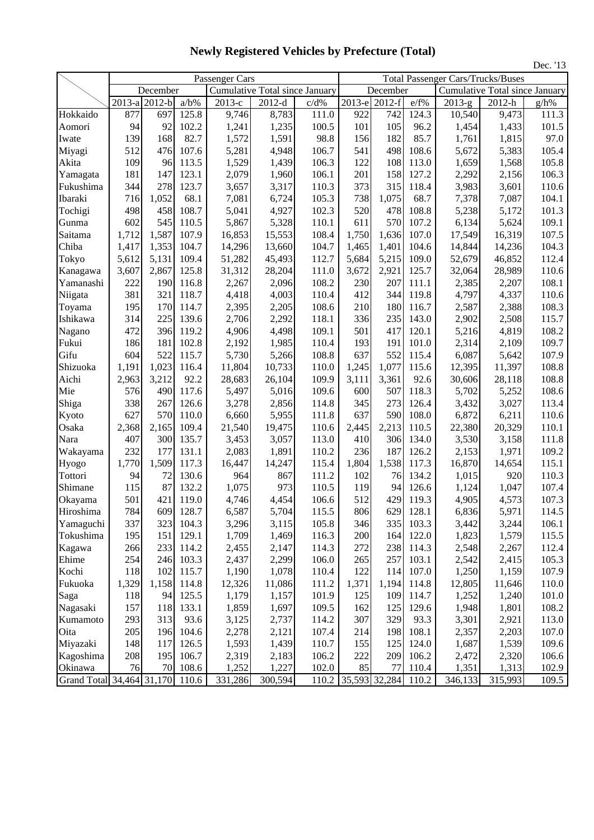|                                 |       |               |         |                                |          |       |                     | Dec. '13      |       |                                          |                                       |         |
|---------------------------------|-------|---------------|---------|--------------------------------|----------|-------|---------------------|---------------|-------|------------------------------------------|---------------------------------------|---------|
|                                 |       |               |         | Passenger Cars                 |          |       |                     |               |       | <b>Total Passenger Cars/Trucks/Buses</b> |                                       |         |
|                                 |       | December      |         | Cumulative Total since January |          |       |                     | December      |       |                                          | <b>Cumulative Total since January</b> |         |
|                                 |       | 2013-a 2012-b | $a/b\%$ | 2013-е                         | $2012-d$ | c/d%  |                     | 2013-e 2012-f | e/f%  | $2013-g$                                 | 2012-h                                | $g/h\%$ |
| Hokkaido                        | 877   | 697           | 125.8   | 9,746                          | 8,783    | 111.0 | 922                 | 742           | 124.3 | 10,540                                   | 9,473                                 | 111.3   |
| Aomori                          | 94    | 92            | 102.2   | 1,241                          | 1,235    | 100.5 | 101                 | 105           | 96.2  | 1,454                                    | 1,433                                 | 101.5   |
| Iwate                           | 139   | 168           | 82.7    | 1,572                          | 1,591    | 98.8  | 156                 | 182           | 85.7  | 1,761                                    | 1,815                                 | 97.0    |
| Miyagi                          | 512   | 476           | 107.6   | 5,281                          | 4,948    | 106.7 | 541                 | 498           | 108.6 | 5,672                                    | 5,383                                 | 105.4   |
| Akita                           | 109   | 96            | 113.5   | 1,529                          | 1,439    | 106.3 | 122                 | 108           | 113.0 | 1,659                                    | 1,568                                 | 105.8   |
| Yamagata                        | 181   | 147           | 123.1   | 2,079                          | 1,960    | 106.1 | 201                 | 158           | 127.2 | 2,292                                    | 2,156                                 | 106.3   |
| Fukushima                       | 344   | 278           | 123.7   | 3,657                          | 3,317    | 110.3 | 373                 | 315           | 118.4 | 3,983                                    | 3,601                                 | 110.6   |
| Ibaraki                         | 716   | 1,052         | 68.1    | 7,081                          | 6,724    | 105.3 | 738                 | 1,075         | 68.7  | 7,378                                    | 7,087                                 | 104.1   |
| Tochigi                         | 498   | 458           | 108.7   | 5,041                          | 4,927    | 102.3 | 520                 | 478           | 108.8 | 5,238                                    | 5,172                                 | 101.3   |
| Gunma                           | 602   | 545           | 110.5   | 5,867                          | 5,328    | 110.1 | 611                 | 570           | 107.2 | 6,134                                    | 5,624                                 | 109.1   |
| Saitama                         | 1,712 | 1,587         | 107.9   | 16,853                         | 15,553   | 108.4 | 1,750               | 1,636         | 107.0 | 17,549                                   | 16,319                                | 107.5   |
| Chiba                           | 1,417 | 1,353         | 104.7   | 14,296                         | 13,660   | 104.7 | 1,465               | 1,401         | 104.6 | 14,844                                   | 14,236                                | 104.3   |
| Tokyo                           | 5,612 | 5,131         | 109.4   | 51,282                         | 45,493   | 112.7 | 5,684               | 5,215         | 109.0 | 52,679                                   | 46,852                                | 112.4   |
| Kanagawa                        | 3,607 | 2,867         | 125.8   | 31,312                         | 28,204   | 111.0 | 3,672               | 2,921         | 125.7 | 32,064                                   | 28,989                                | 110.6   |
| Yamanashi                       | 222   | 190           | 116.8   | 2,267                          | 2,096    | 108.2 | 230                 | 207           | 111.1 | 2,385                                    | 2,207                                 | 108.1   |
| Niigata                         | 381   | 321           | 118.7   | 4,418                          | 4,003    | 110.4 | 412                 | 344           | 119.8 | 4,797                                    | 4,337                                 | 110.6   |
| Toyama                          | 195   | 170           | 114.7   | 2,395                          | 2,205    | 108.6 | 210                 | 180           | 116.7 | 2,587                                    | 2,388                                 | 108.3   |
| Ishikawa                        | 314   | 225           | 139.6   | 2,706                          | 2,292    | 118.1 | 336                 | 235           | 143.0 | 2,902                                    | 2,508                                 | 115.7   |
| Nagano                          | 472   | 396           | 119.2   | 4,906                          | 4,498    | 109.1 | 501                 | 417           | 120.1 | 5,216                                    | 4,819                                 | 108.2   |
| Fukui                           | 186   | 181           | 102.8   | 2,192                          | 1,985    | 110.4 | 193                 | 191           | 101.0 | 2,314                                    | 2,109                                 | 109.7   |
| Gifu                            | 604   | 522           | 115.7   | 5,730                          | 5,266    | 108.8 | 637                 | 552           | 115.4 | 6,087                                    | 5,642                                 | 107.9   |
| Shizuoka                        | 1,191 | 1,023         | 116.4   | 11,804                         | 10,733   | 110.0 | 1,245               | 1,077         | 115.6 | 12,395                                   | 11,397                                | 108.8   |
| Aichi                           | 2,963 | 3,212         | 92.2    | 28,683                         | 26,104   | 109.9 | 3,111               | 3,361         | 92.6  | 30,606                                   | 28,118                                | 108.8   |
| Mie                             | 576   | 490           | 117.6   | 5,497                          | 5,016    | 109.6 | 600                 | 507           | 118.3 | 5,702                                    | 5,252                                 | 108.6   |
| Shiga                           | 338   | 267           | 126.6   | 3,278                          | 2,856    | 114.8 | 345                 | 273           | 126.4 | 3,432                                    | 3,027                                 | 113.4   |
| Kyoto                           | 627   | 570           | 110.0   | 6,660                          | 5,955    | 111.8 | 637                 | 590           | 108.0 | 6,872                                    | 6,211                                 | 110.6   |
| Osaka                           | 2,368 | 2,165         | 109.4   | 21,540                         | 19,475   | 110.6 | 2,445               | 2,213         | 110.5 | 22,380                                   | 20,329                                | 110.1   |
| Nara                            | 407   | 300           | 135.7   | 3,453                          | 3,057    | 113.0 | 410                 | 306           | 134.0 | 3,530                                    | 3,158                                 | 111.8   |
| Wakayama                        | 232   | 177           | 131.1   | 2,083                          | 1,891    | 110.2 | 236                 | 187           | 126.2 | 2,153                                    | 1,971                                 | 109.2   |
| Hyogo                           | 1,770 | 1,509         | 117.3   | 16,447                         | 14,247   | 115.4 | 1,804               | 1,538         | 117.3 | 16,870                                   | 14,654                                | 115.1   |
| Tottori                         | 94    | 72            | 130.6   | 964                            | 867      | 111.2 | 102                 | 76            | 134.2 | 1,015                                    | 920                                   | 110.3   |
| Shimane                         | 115   | 87            | 132.2   | 1,075                          | 973      | 110.5 | 119                 | 94            | 126.6 | 1,124                                    | 1,047                                 | 107.4   |
| Okayama                         | 501   | 421           | 119.0   | 4,746                          | 4,454    | 106.6 | 512                 | 429           | 119.3 | 4,905                                    | 4,573                                 | 107.3   |
| Hiroshima                       | 784   | 609           | 128.7   | 6,587                          | 5,704    | 115.5 | 806                 | 629           | 128.1 | 6,836                                    | 5,971                                 | 114.5   |
| Yamaguchi                       | 337   | 323           | 104.3   | 3,296                          | 3,115    | 105.8 | 346                 | 335           | 103.3 | 3,442                                    | 3,244                                 | 106.1   |
| Tokushima                       | 195   | 151           | 129.1   | 1,709                          | 1,469    | 116.3 | 200                 | 164           | 122.0 | 1,823                                    | 1,579                                 | 115.5   |
| Kagawa                          | 266   | 233           | 114.2   | 2,455                          | 2,147    | 114.3 | 272                 | 238           | 114.3 | 2,548                                    | 2,267                                 | 112.4   |
| Ehime                           | 254   | 246           | 103.3   | 2,437                          | 2,299    | 106.0 | 265                 | 257           | 103.1 | 2,542                                    | 2,415                                 | 105.3   |
| Kochi                           | 118   | 102           | 115.7   | 1,190                          | 1,078    | 110.4 | 122                 | 114           | 107.0 | 1,250                                    | 1,159                                 | 107.9   |
| Fukuoka                         | 1,329 | 1,158         | 114.8   | 12,326                         | 11,086   | 111.2 | 1,371               | 1,194         | 114.8 | 12,805                                   | 11,646                                | 110.0   |
| Saga                            | 118   | 94            | 125.5   | 1,179                          | 1,157    | 101.9 | 125                 | 109           | 114.7 | 1,252                                    | 1,240                                 | 101.0   |
| Nagasaki                        | 157   | 118           | 133.1   | 1,859                          | 1,697    | 109.5 | 162                 | 125           | 129.6 | 1,948                                    | 1,801                                 | 108.2   |
| Kumamoto                        | 293   | 313           | 93.6    | 3,125                          | 2,737    | 114.2 | 307                 | 329           | 93.3  | 3,301                                    | 2,921                                 | 113.0   |
| Oita                            | 205   | 196           | 104.6   | 2,278                          | 2,121    | 107.4 | 214                 | 198           | 108.1 | 2,357                                    | 2,203                                 | 107.0   |
| Miyazaki                        | 148   | 117           | 126.5   | 1,593                          | 1,439    | 110.7 | 155                 | 125           | 124.0 | 1,687                                    | 1,539                                 | 109.6   |
| Kagoshima                       | 208   | 195           | 106.7   | 2,319                          | 2,183    | 106.2 | 222                 | 209           | 106.2 | 2,472                                    | 2,320                                 | 106.6   |
| Okinawa                         | 76    | 70            | 108.6   | 1,252                          | 1,227    | 102.0 | 85                  | 77            | 110.4 | 1,351                                    | 1,313                                 | 102.9   |
| Grand Total 34,464 31,170 110.6 |       |               |         | 331,286                        | 300,594  | 110.2 | 35,593 32,284 110.2 |               |       | 346,133                                  | 315,993                               | 109.5   |

**Newly Registered Vehicles by Prefecture (Total)**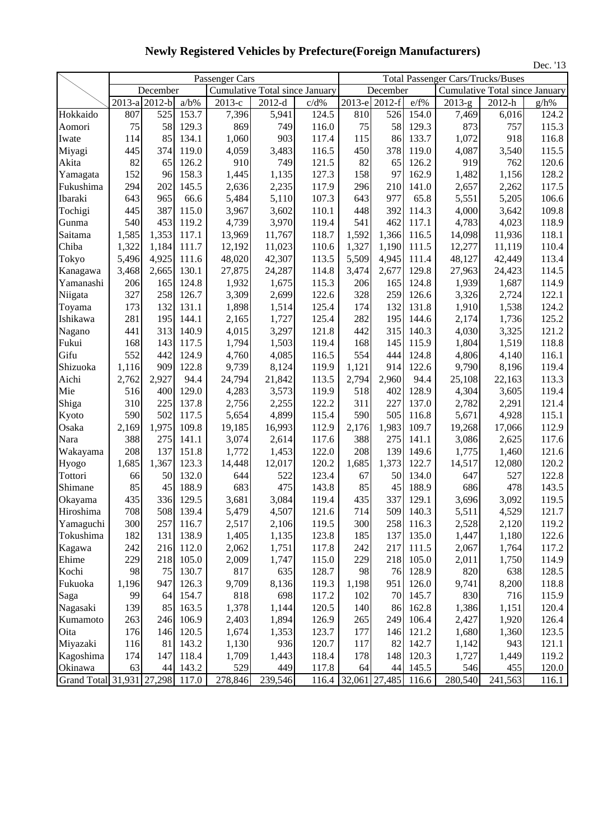|                           |                                           |          |         |                |                                       |       |                     |          |          |                                          | Dec. '13                              |       |
|---------------------------|-------------------------------------------|----------|---------|----------------|---------------------------------------|-------|---------------------|----------|----------|------------------------------------------|---------------------------------------|-------|
|                           |                                           |          |         | Passenger Cars |                                       |       |                     |          |          | <b>Total Passenger Cars/Trucks/Buses</b> |                                       |       |
|                           |                                           | December |         |                | <b>Cumulative Total since January</b> |       |                     | December |          |                                          | <b>Cumulative Total since January</b> |       |
|                           | $\overline{2013}$ -a $\overline{2012}$ -b |          | $a/b\%$ | 2013-е         | $2012-d$                              | c/d%  | 2013-е              | $2012-f$ | e/f%     | $2013-g$                                 | 2012-h                                | g/h%  |
| Hokkaido                  | 807                                       | 525      | 153.7   | 7,396          | 5,941                                 | 124.5 | 810                 | 526      | 154.0    | 7,469                                    | 6,016                                 | 124.2 |
| Aomori                    | 75                                        | 58       | 129.3   | 869            | 749                                   | 116.0 | 75                  | 58       | 129.3    | 873                                      | 757                                   | 115.3 |
| Iwate                     | 114                                       | 85       | 134.1   | 1,060          | 903                                   | 117.4 | 115                 | 86       | 133.7    | 1,072                                    | 918                                   | 116.8 |
| Miyagi                    | 445                                       | 374      | 119.0   | 4,059          | 3,483                                 | 116.5 | 450                 | 378      | 119.0    | 4,087                                    | 3,540                                 | 115.5 |
| Akita                     | 82                                        | 65       | 126.2   | 910            | 749                                   | 121.5 | 82                  | 65       | 126.2    | 919                                      | 762                                   | 120.6 |
| Yamagata                  | 152                                       | 96       | 158.3   | 1,445          | 1,135                                 | 127.3 | 158                 | 97       | 162.9    | 1,482                                    | 1,156                                 | 128.2 |
| Fukushima                 | 294                                       | 202      | 145.5   | 2,636          | 2,235                                 | 117.9 | 296                 | 210      | 141.0    | 2,657                                    | 2,262                                 | 117.5 |
| Ibaraki                   | 643                                       | 965      | 66.6    | 5,484          | 5,110                                 | 107.3 | 643                 | 977      | 65.8     | 5,551                                    | 5,205                                 | 106.6 |
| Tochigi                   | 445                                       | 387      | 115.0   | 3,967          | 3,602                                 | 110.1 | 448                 | 392      | 114.3    | 4,000                                    | 3,642                                 | 109.8 |
| Gunma                     | 540                                       | 453      | 119.2   | 4,739          | 3,970                                 | 119.4 | 541                 | 462      | 117.1    | 4,783                                    | 4,023                                 | 118.9 |
| Saitama                   | 1,585                                     | 1,353    | 117.1   | 13,969         | 11,767                                | 118.7 | 1,592               | 1,366    | 116.5    | 14,098                                   | 11,936                                | 118.1 |
| Chiba                     | 1,322                                     | 1,184    | 111.7   | 12,192         | 11,023                                | 110.6 | 1,327               | 1,190    | 111.5    | 12,277                                   | 11,119                                | 110.4 |
| Tokyo                     | 5,496                                     | 4,925    | 111.6   | 48,020         | 42,307                                | 113.5 | 5,509               | 4,945    | 111.4    | 48,127                                   | 42,449                                | 113.4 |
| Kanagawa                  | 3,468                                     | 2,665    | 130.1   | 27,875         | 24,287                                | 114.8 | 3,474               | 2,677    | 129.8    | 27,963                                   | 24,423                                | 114.5 |
| Yamanashi                 | 206                                       | 165      | 124.8   | 1,932          | 1,675                                 | 115.3 | 206                 | 165      | 124.8    | 1,939                                    | 1,687                                 | 114.9 |
| Niigata                   | 327                                       | 258      | 126.7   | 3,309          | 2,699                                 | 122.6 | 328                 | 259      | 126.6    | 3,326                                    | 2,724                                 | 122.1 |
| Toyama                    | 173                                       | 132      | 131.1   | 1,898          | 1,514                                 | 125.4 | 174                 | 132      | 131.8    | 1,910                                    | 1,538                                 | 124.2 |
| Ishikawa                  | 281                                       | 195      | 144.1   | 2,165          | 1,727                                 | 125.4 | 282                 | 195      | 144.6    | 2,174                                    | 1,736                                 | 125.2 |
| Nagano                    | 441                                       | 313      | 140.9   | 4,015          | 3,297                                 | 121.8 | 442                 | 315      | 140.3    | 4,030                                    | 3,325                                 | 121.2 |
| Fukui                     | 168                                       | 143      | 117.5   | 1,794          | 1,503                                 | 119.4 | 168                 | 145      | 115.9    | 1,804                                    | 1,519                                 | 118.8 |
| Gifu                      | 552                                       | 442      | 124.9   | 4,760          | 4,085                                 | 116.5 | 554                 | 444      | 124.8    | 4,806                                    | 4,140                                 | 116.1 |
| Shizuoka                  | 1,116                                     | 909      | 122.8   | 9,739          | 8,124                                 | 119.9 | 1,121               | 914      | 122.6    | 9,790                                    | 8,196                                 | 119.4 |
| Aichi                     | 2,762                                     | 2,927    | 94.4    | 24,794         | 21,842                                | 113.5 | 2,794               | 2,960    | 94.4     | 25,108                                   | 22,163                                | 113.3 |
| Mie                       | 516                                       | 400      | 129.0   | 4,283          | 3,573                                 | 119.9 | 518                 | 402      | 128.9    | 4,304                                    | 3,605                                 | 119.4 |
| Shiga                     | 310                                       | 225      | 137.8   | 2,756          | 2,255                                 | 122.2 | 311                 | 227      | 137.0    | 2,782                                    | 2,291                                 | 121.4 |
| Kyoto                     | 590                                       | 502      | 117.5   | 5,654          | 4,899                                 | 115.4 | 590                 | 505      | 116.8    | 5,671                                    | 4,928                                 | 115.1 |
| Osaka                     | 2,169                                     | 1,975    | 109.8   | 19,185         | 16,993                                | 112.9 | 2,176               | 1,983    | 109.7    | 19,268                                   | 17,066                                | 112.9 |
| Nara                      | 388                                       | 275      | 141.1   | 3,074          | 2,614                                 | 117.6 | 388                 | 275      | 141.1    | 3,086                                    | 2,625                                 | 117.6 |
| Wakayama                  | 208                                       | 137      | 151.8   | 1,772          | 1,453                                 | 122.0 | 208                 | 139      | 149.6    | 1,775                                    | 1,460                                 | 121.6 |
| Hyogo                     | 1,685                                     | 1,367    | 123.3   | 14,448         | 12,017                                | 120.2 | 1,685               | 1,373    | 122.7    | 14,517                                   | 12,080                                | 120.2 |
| Tottori                   | 66                                        | 50       | 132.0   | 644            | 522                                   | 123.4 | 67                  | 50       | 134.0    | 647                                      | 527                                   | 122.8 |
| Shimane                   | 85                                        | 45       | 188.9   | 683            | 475                                   | 143.8 | 85                  | 45       | 188.9    | 686                                      | 478                                   | 143.5 |
| Okayama                   | 435                                       | 336      | 129.5   | 3,681          | 3,084                                 | 119.4 | 435                 | 337      | 129.1    | 3,696                                    | 3,092                                 | 119.5 |
| Hiroshima                 | 708                                       | 508      | 139.4   | 5,479          | 4,507                                 | 121.6 | 714                 | 509      | 140.3    | 5,511                                    | 4,529                                 | 121.7 |
| Yamaguchi                 | 300                                       | 257      | 116.7   | 2,517          | 2,106                                 | 119.5 | 300                 | 258      | 116.3    | 2,528                                    | 2,120                                 | 119.2 |
| Tokushima                 | 182                                       | 131      | 138.9   | 1,405          | 1,135                                 | 123.8 | 185                 | 137      | 135.0    | 1,447                                    | 1,180                                 | 122.6 |
| Kagawa                    | 242                                       | 216      | 112.0   | 2,062          | 1,751                                 | 117.8 | 242                 | 217      | 111.5    | 2,067                                    | 1,764                                 | 117.2 |
| Ehime                     | 229                                       | 218      | 105.0   | 2,009          | 1,747                                 | 115.0 | 229                 | 218      | 105.0    | 2,011                                    | 1,750                                 | 114.9 |
| Kochi                     | 98                                        | 75       | 130.7   | 817            | 635                                   | 128.7 | 98                  | 76       | 128.9    | 820                                      | 638                                   | 128.5 |
| Fukuoka                   | 1,196                                     | 947      | 126.3   | 9,709          | 8,136                                 | 119.3 | 1,198               | 951      | 126.0    | 9,741                                    | 8,200                                 | 118.8 |
| Saga                      | 99                                        | 64       | 154.7   | 818            | 698                                   | 117.2 | 102                 |          | 70 145.7 | 830                                      | 716                                   | 115.9 |
| Nagasaki                  | 139                                       | 85       | 163.5   | 1,378          | 1,144                                 | 120.5 | 140                 | 86       | 162.8    | 1,386                                    | 1,151                                 | 120.4 |
| Kumamoto                  | 263                                       | 246      | 106.9   | 2,403          | 1,894                                 | 126.9 | 265                 | 249      | 106.4    | 2,427                                    | 1,920                                 | 126.4 |
| Oita                      | 176                                       | 146      | 120.5   | 1,674          | 1,353                                 | 123.7 | 177                 | 146      | 121.2    | 1,680                                    | 1,360                                 | 123.5 |
| Miyazaki                  | 116                                       | 81       | 143.2   | 1,130          | 936                                   | 120.7 | 117                 | 82       | 142.7    | 1,142                                    | 943                                   | 121.1 |
| Kagoshima                 | 174                                       | 147      | 118.4   | 1,709          | 1,443                                 | 118.4 | 178                 | 148      | 120.3    | 1,727                                    | 1,449                                 | 119.2 |
| Okinawa                   | 63                                        | 44       | 143.2   | 529            | 449                                   | 117.8 | 64                  |          | 44 145.5 | 546                                      | 455                                   | 120.0 |
| Grand Total 31,931 27,298 |                                           |          | 117.0   | 278,846        | 239,546                               |       | 116.4 32,061 27,485 |          | 116.6    | 280,540                                  | 241,563                               | 116.1 |

**Newly Registered Vehicles by Prefecture(Foreign Manufacturers)**